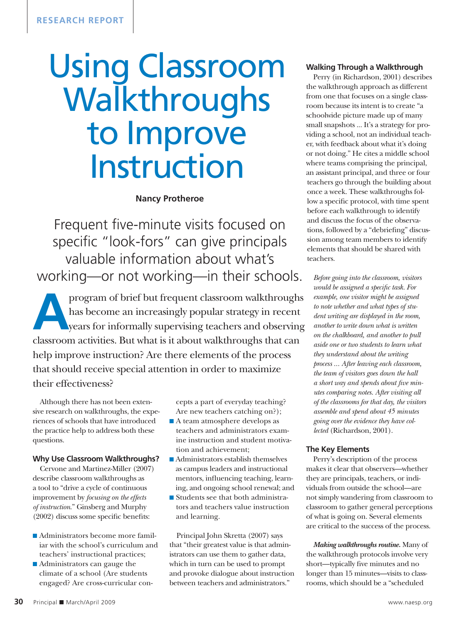# Using Classroom **Walkthroughs** to Improve Instruction

#### **Nancy Protheroe**

Frequent five-minute visits focused on specific "look-fors" can give principals valuable information about what's working—or not working—in their schools.

program of brief but frequent classroom walkthroughs<br>has become an increasingly popular strategy in recent<br>years for informally supervising teachers and observing<br>electron extities. But what is it about walkthroughs that s has become an increasingly popular strategy in recent years for informally supervising teachers and observing classroom activities. But what is it about walkthroughs that can help improve instruction? Are there elements of the process that should receive special attention in order to maximize their effectiveness?

Although there has not been extensive research on walkthroughs, the experiences of schools that have introduced the practice help to address both these questions.

#### **Why Use Classroom Walkthroughs?**

Cervone and Martinez-Miller (2007) describe classroom walkthroughs as a tool to "drive a cycle of continuous improvement by *focusing on the effects of instruction*." Ginsberg and Murphy (2002) discuss some specific benefits:

- $\blacksquare$  Administrators become more familiar with the school's curriculum and teachers' instructional practices;
- $\blacksquare$  Administrators can gauge the climate of a school (Are students engaged? Are cross-curricular con-

cepts a part of everyday teaching? Are new teachers catching on?);

- $\blacksquare$  A team atmosphere develops as teachers and administrators examine instruction and student motivation and achievement;
- $\blacksquare$  Administrators establish themselves as campus leaders and instructional mentors, influencing teaching, learning, and ongoing school renewal; and
- Students see that both administrators and teachers value instruction and learning.

Principal John Skretta (2007) says that "their greatest value is that administrators can use them to gather data, which in turn can be used to prompt and provoke dialogue about instruction between teachers and administrators."

#### **Walking Through a Walkthrough**

Perry (in Richardson, 2001) describes the walkthrough approach as different from one that focuses on a single classroom because its intent is to create "a schoolwide picture made up of many small snapshots ... It's a strategy for providing a school, not an individual teacher, with feedback about what it's doing or not doing." He cites a middle school where teams comprising the principal, an assistant principal, and three or four teachers go through the building about once a week. These walkthroughs follow a specific protocol, with time spent before each walkthrough to identify and discuss the focus of the observations, followed by a "debriefing" discussion among team members to identify elements that should be shared with teachers.

*Before going into the classroom, visitors would be assigned a specific task. For example, one visitor might be assigned to note whether and what types of student writing are displayed in the room, another to write down what is written on the chalkboard, and another to pull aside one or two students to learn what they understand about the writing process ... After leaving each classroom, the team of visitors goes down the hall a short way and spends about five minutes comparing notes. After visiting all of the classrooms for that day, the visitors assemble and spend about 45 minutes going over the evidence they have collected* (Richardson, 2001).

#### **The Key Elements**

Perry's description of the process makes it clear that observers—whether they are principals, teachers, or individuals from outside the school—are not simply wandering from classroom to classroom to gather general perceptions of what is going on. Several elements are critical to the success of the process.

*Making walkthroughs routine.* Many of the walkthrough protocols involve very short—typically five minutes and no longer than 15 minutes—visits to classrooms, which should be a "scheduled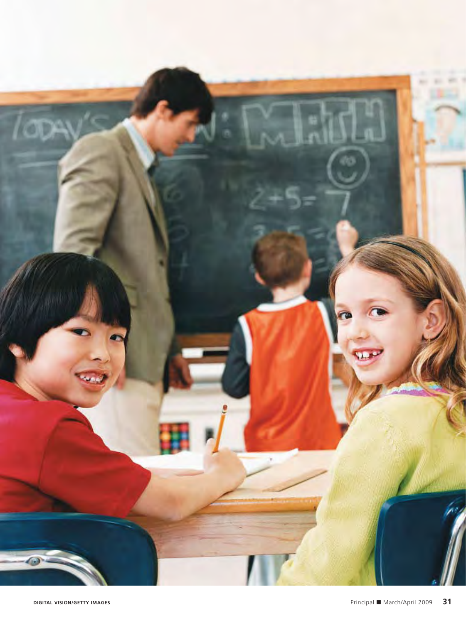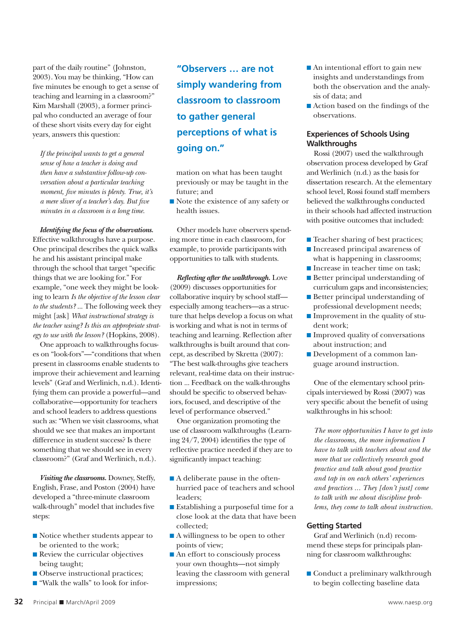part of the daily routine" (Johnston, 2003). You may be thinking, "How can five minutes be enough to get a sense of teaching and learning in a classroom?" Kim Marshall (2003), a former principal who conducted an average of four of these short visits every day for eight years, answers this question:

*If the principal wants to get a general sense of how a teacher is doing and then have a substantive follow-up conversation about a particular teaching moment, five minutes is plenty. True, it's a mere sliver of a teacher's day. But five minutes in a classroom is a long time.*

*Identifying the focus of the observations.* Effective walkthroughs have a purpose. One principal describes the quick walks he and his assistant principal make through the school that target "specific things that we are looking for." For example, "one week they might be looking to learn *Is the objective of the lesson clear to the students?* ... The following week they might [ask] *What instructional strategy is the teacher using? Is this an appropriate strategy to use with the lesson?* (Hopkins, 2008).

One approach to walkthroughs focuses on "look-fors"—"conditions that when present in classrooms enable students to improve their achievement and learning levels" (Graf and Werlinich, n.d.). Identifying them can provide a powerful—and collaborative—opportunity for teachers and school leaders to address questions such as: "When we visit classrooms, what should we see that makes an important difference in student success? Is there something that we should see in every classroom?" (Graf and Werlinich, n.d.).

*Visiting the classrooms.* Downey, Steffy, English, Frase, and Poston (2004) have developed a "three-minute classroom walk-through" model that includes five steps:

- $\blacksquare$  Notice whether students appear to be oriented to the work;
- $\blacksquare$  Review the curricular objectives being taught;
- $\blacksquare$  Observe instructional practices;
- "Walk the walls" to look for infor-

**"Observers … are not simply wandering from classroom to classroom to gather general perceptions of what is going on."**

mation on what has been taught previously or may be taught in the future; and

 $\blacksquare$  Note the existence of any safety or health issues.

Other models have observers spending more time in each classroom, for example, to provide participants with opportunities to talk with students.

*Reflecting after the walkthrough.* Love (2009) discusses opportunities for collaborative inquiry by school staff especially among teachers—as a structure that helps develop a focus on what is working and what is not in terms of teaching and learning. Reflection after walkthroughs is built around that concept, as described by Skretta (2007): "The best walk-throughs give teachers relevant, real-time data on their instruction ... Feedback on the walk-throughs should be specific to observed behaviors, focused, and descriptive of the level of performance observed."

One organization promoting the use of classroom walkthroughs (Learning 24/7, 2004) identifies the type of reflective practice needed if they are to significantly impact teaching:

- $\blacksquare$  A deliberate pause in the oftenhurried pace of teachers and school leaders;
- $\blacksquare$  Establishing a purposeful time for a close look at the data that have been collected;
- $\blacksquare$  A willingness to be open to other points of view;
- $\blacksquare$  An effort to consciously process your own thoughts—not simply leaving the classroom with general impressions;
- $\blacksquare$  An intentional effort to gain new insights and understandings from both the observation and the analysis of data; and
- $\blacksquare$  Action based on the findings of the observations.

#### **Experiences of Schools Using Walkthroughs**

Rossi (2007) used the walkthrough observation process developed by Graf and Werlinich (n.d.) as the basis for dissertation research. At the elementary school level, Rossi found staff members believed the walkthroughs conducted in their schools had affected instruction with positive outcomes that included:

- **n** Teacher sharing of best practices;
- $\blacksquare$  Increased principal awareness of what is happening in classrooms;
- Increase in teacher time on task;
- $\blacksquare$  Better principal understanding of curriculum gaps and inconsistencies;
- $\blacksquare$  Better principal understanding of professional development needs;
- $\blacksquare$  Improvement in the quality of student work;
- $\blacksquare$  Improved quality of conversations about instruction; and
- Development of a common language around instruction.

One of the elementary school principals interviewed by Rossi (2007) was very specific about the benefit of using walkthroughs in his school:

*The more opportunities I have to get into the classrooms, the more information I have to talk with teachers about and the more that we collectively research good practice and talk about good practice and tap in on each others' experiences and practices ... They [don't just] come to talk with me about discipline problems, they come to talk about instruction.*

#### **Getting Started**

Graf and Werlinich (n.d) recommend these steps for principals planning for classroom walkthroughs:

 $\blacksquare$  Conduct a preliminary walkthrough to begin collecting baseline data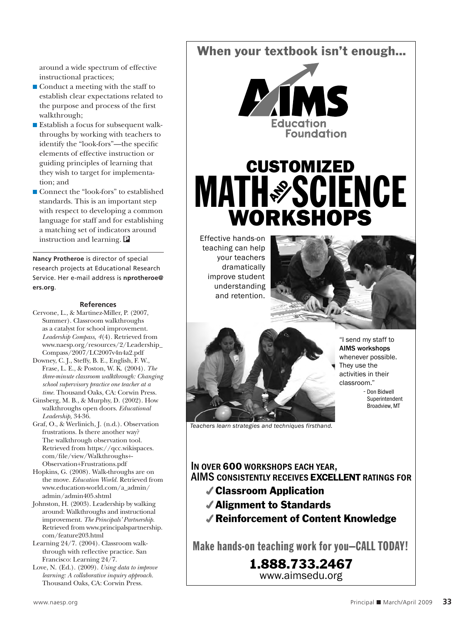around a wide spectrum of effective instructional practices;

- $\blacksquare$  Conduct a meeting with the staff to establish clear expectations related to the purpose and process of the first walkthrough;
- $\blacksquare$  Establish a focus for subsequent walkthroughs by working with teachers to identify the "look-fors"—the specific elements of effective instruction or guiding principles of learning that they wish to target for implementation; and
- Connect the "look-fors" to established standards. This is an important step with respect to developing a common language for staff and for establishing a matching set of indicators around instruction and learning. P

**Nancy Protheroe** is director of special research projects at Educational Research Service. Her e-mail address is **nprotheroe@ ers.org**.

#### **References**

- Cervone, L., & Martinez-Miller, P. (2007, Summer). Classroom walkthroughs as a catalyst for school improvement. *Leadership Compass, 4*(4). Retrieved from www.naesp.org/resources/2/Leadership\_ Compass/2007/LC2007v4n4a2.pdf
- Downey, C. J., Steffy, B. E., English, F. W., Frase, L. E., & Poston, W. K. (2004). *The three-minute classroom walkthrough: Changing school supervisory practice one teacher at a time.* Thousand Oaks, CA: Corwin Press.
- Ginsberg, M. B., & Murphy, D. (2002). How walkthroughs open doors. *Educational Leadership,* 34-36.
- Graf, O., & Werlinich, J. (n.d.). Observation frustrations. Is there another way? The walkthrough observation tool. Retrieved from https://qcc.wikispaces. com/file/view/Walkthroughs+- Observation+Frustrations.pdf
- Hopkins, G. (2008). Walk-throughs are on the move. *Education World.* Retrieved from www.education-world.com/a\_admin/ admin/admin405.shtml
- Johnston, H. (2003). Leadership by walking around: Walkthroughs and instructional improvement. *The Principals' Partnership.* Retrieved from www.principalspartnership. com/feature203.html
- Learning 24/7. (2004). Classroom walkthrough with reflective practice. San Francisco: Learning 24/7.
- Love, N. (Ed.). (2009). *Using data to improve learning: A collaborative inquiry approach.*  Thousand Oaks, CA: Corwin Press.

When your textbook isn't enough...



# **MATH & SCIENCE** CUSTOMIZED WORKSHOPS

Effective hands-on teaching can help your teachers dramatically improve student understanding and retention.





"I send my staff to **AIMS workshops** whenever possible. They use the activities in their classroom."

- Don Bidwell Superintendent Broadview, MT

*Teachers learn strategies and techniques firsthand.*

### **In over** 600 **workshops each year, AIMS consistently receives** EXCELLENT **ratings for**

- Classroom Application
- Alignment to Standards
- Reinforcement of Content Knowledge

Make hands-on teaching work for you—CALL TODAY!

1.888.733.2467 www.aimsedu.org